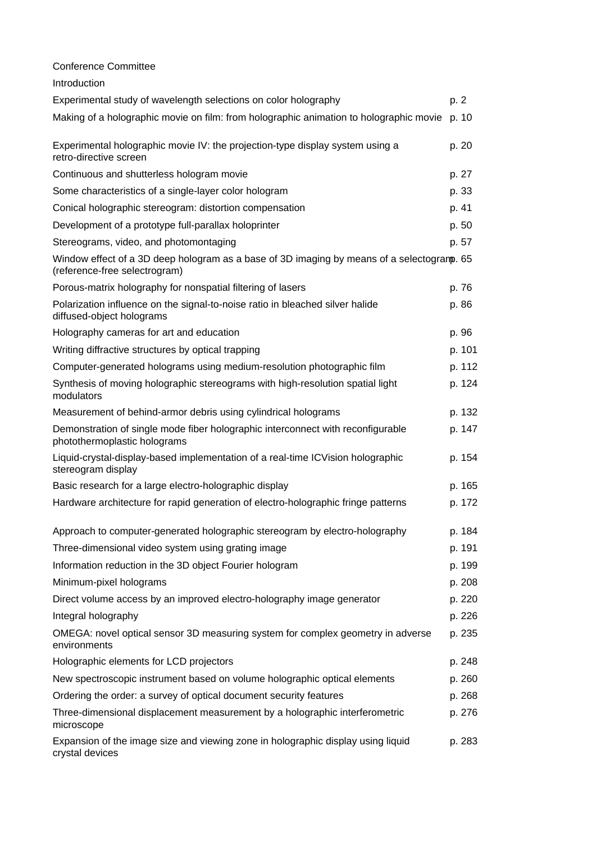| <b>Conference Committee</b>                                                                                                 |        |
|-----------------------------------------------------------------------------------------------------------------------------|--------|
| Introduction                                                                                                                |        |
| Experimental study of wavelength selections on color holography                                                             | p. 2   |
| Making of a holographic movie on film: from holographic animation to holographic movie p. 10                                |        |
| Experimental holographic movie IV: the projection-type display system using a<br>retro-directive screen                     | p. 20  |
| Continuous and shutterless hologram movie                                                                                   | p. 27  |
| Some characteristics of a single-layer color hologram                                                                       | p. 33  |
| Conical holographic stereogram: distortion compensation                                                                     | p. 41  |
| Development of a prototype full-parallax holoprinter                                                                        | p. 50  |
| Stereograms, video, and photomontaging                                                                                      | p. 57  |
| Window effect of a 3D deep hologram as a base of 3D imaging by means of a selectogramp. 65<br>(reference-free selectrogram) |        |
| Porous-matrix holography for nonspatial filtering of lasers                                                                 | p. 76  |
| Polarization influence on the signal-to-noise ratio in bleached silver halide<br>diffused-object holograms                  | p. 86  |
| Holography cameras for art and education                                                                                    | p. 96  |
| Writing diffractive structures by optical trapping                                                                          | p. 101 |
| Computer-generated holograms using medium-resolution photographic film                                                      | p. 112 |
| Synthesis of moving holographic stereograms with high-resolution spatial light<br>modulators                                | p. 124 |
| Measurement of behind-armor debris using cylindrical holograms                                                              | p. 132 |
| Demonstration of single mode fiber holographic interconnect with reconfigurable<br>photothermoplastic holograms             | p. 147 |
| Liquid-crystal-display-based implementation of a real-time ICVision holographic<br>stereogram display                       | p. 154 |
| Basic research for a large electro-holographic display                                                                      | p. 165 |
| Hardware architecture for rapid generation of electro-holographic fringe patterns                                           | p. 172 |
| Approach to computer-generated holographic stereogram by electro-holography                                                 | p. 184 |
| Three-dimensional video system using grating image                                                                          | p. 191 |
| Information reduction in the 3D object Fourier hologram                                                                     | p. 199 |
| Minimum-pixel holograms                                                                                                     | p. 208 |
| Direct volume access by an improved electro-holography image generator                                                      | p. 220 |
| Integral holography                                                                                                         | p. 226 |
| OMEGA: novel optical sensor 3D measuring system for complex geometry in adverse<br>environments                             | p. 235 |
| Holographic elements for LCD projectors                                                                                     | p. 248 |
| New spectroscopic instrument based on volume holographic optical elements                                                   | p. 260 |
| Ordering the order: a survey of optical document security features                                                          | p. 268 |
| Three-dimensional displacement measurement by a holographic interferometric<br>microscope                                   | p. 276 |
| Expansion of the image size and viewing zone in holographic display using liquid<br>crystal devices                         | p. 283 |